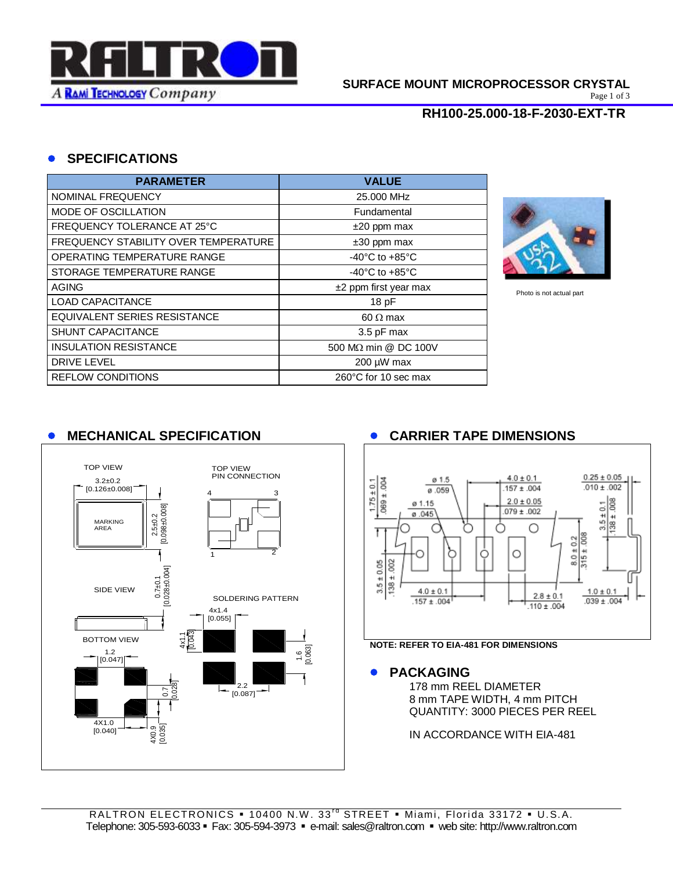

#### **SURFACE MOUNT MICROPROCESSOR CRYSTAL**

Page 1 of 3

## **RH100-25.000-18-F-2030-EXT-TR**

## **SPECIFICATIONS**

| <b>PARAMETER</b>                     | <b>VALUE</b>                         |
|--------------------------------------|--------------------------------------|
| NOMINAL FREQUENCY                    | 25,000 MHz                           |
| MODE OF OSCILLATION                  | Fundamental                          |
| FREQUENCY TOLERANCE AT 25°C          | $±20$ ppm max                        |
| FREQUENCY STABILITY OVER TEMPERATURE | $±30$ ppm max                        |
| OPERATING TEMPERATURE RANGE          | -40 $^{\circ}$ C to +85 $^{\circ}$ C |
| STORAGE TEMPERATURE RANGE            | $-40^{\circ}$ C to $+85^{\circ}$ C   |
| <b>AGING</b>                         | $±2$ ppm first year max              |
| <b>LOAD CAPACITANCE</b>              | 18 pF                                |
| EQUIVALENT SERIES RESISTANCE         | 60 $\Omega$ max                      |
| <b>SHUNT CAPACITANCE</b>             | 3.5 pF max                           |
| <b>INSULATION RESISTANCE</b>         | 500 MΩ min @ DC 100V                 |
| <b>DRIVE LEVEL</b>                   | 200 µW max                           |
| <b>REFLOW CONDITIONS</b>             | 260°C for 10 sec max                 |



Photo is not actual part

# **MECHANICAL SPECIFICATION CARRIER TAPE DIMENSIONS**





#### **PACKAGING**

178 mm REEL DIAMETER 8 mm TAPE WIDTH, 4 mm PITCH QUANTITY: 3000 PIECES PER REEL

IN ACCORDANCE WITH EIA-481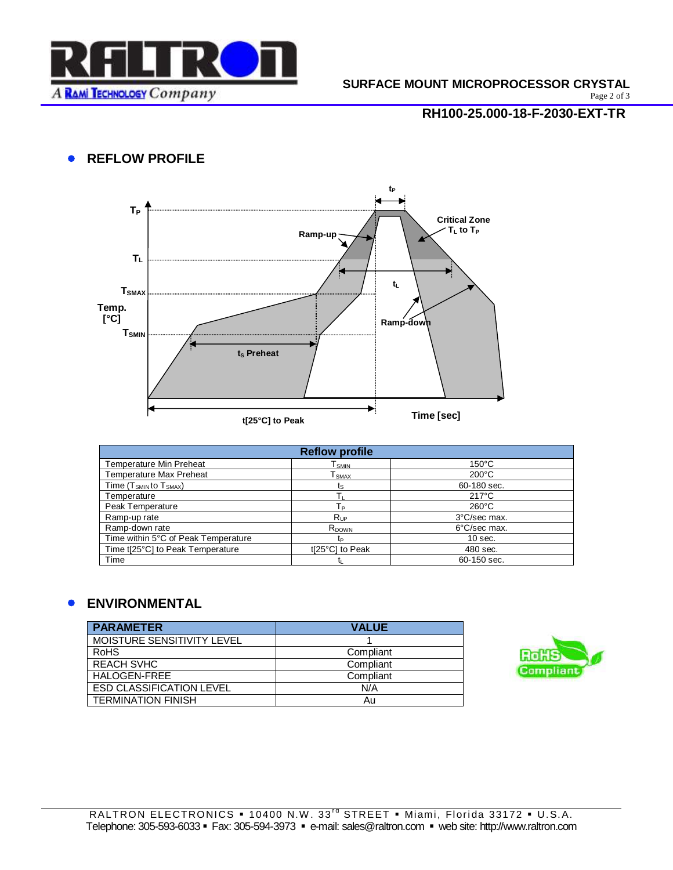

Page 2 of 3

## **RH100-25.000-18-F-2030-EXT-TR**

# **• REFLOW PROFILE**



| <b>Reflow profile</b>               |                   |                 |  |  |
|-------------------------------------|-------------------|-----------------|--|--|
| <b>Temperature Min Preheat</b>      | l smin            | $150^{\circ}$ C |  |  |
| <b>Temperature Max Preheat</b>      | SMAX              | $200^{\circ}$ C |  |  |
| Time $(T_{SMIN}$ to $T_{SMAX}$ )    | τs                | 60-180 sec.     |  |  |
| Temperature                         |                   | $217^{\circ}$ C |  |  |
| Peak Temperature                    | Tр                | $260^{\circ}$ C |  |  |
| Ramp-up rate                        | $R_{\text{UP}}$   | 3°C/sec max.    |  |  |
| Ramp-down rate                      | R <sub>DOWN</sub> | 6°C/sec max.    |  |  |
| Time within 5°C of Peak Temperature | tp                | $10$ sec.       |  |  |
| Time t[25°C] to Peak Temperature    | t[25°C] to Peak   | 480 sec.        |  |  |
| Time                                |                   | 60-150 sec.     |  |  |

## **ENVIRONMENTAL**

| <b>PARAMETER</b>                | <b>VALUE</b> |
|---------------------------------|--------------|
| MOISTURE SENSITIVITY LEVEL      |              |
| <b>RoHS</b>                     | Compliant    |
| <b>REACH SVHC</b>               | Compliant    |
| HALOGEN-FREE                    | Compliant    |
| <b>ESD CLASSIFICATION LEVEL</b> | N/A          |
| <b>TERMINATION FINISH</b>       | Au           |